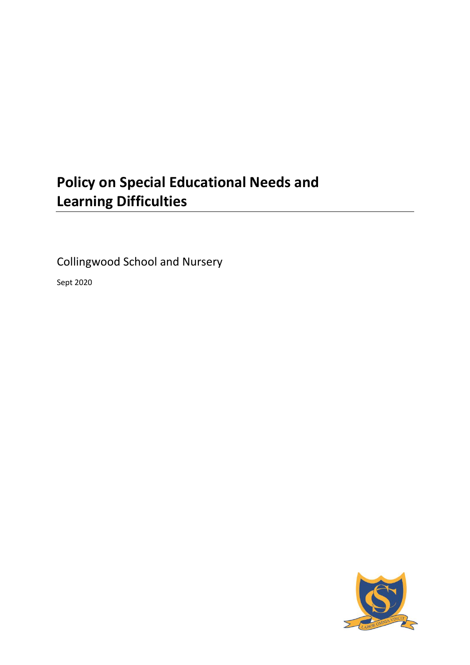# **Policy on Special Educational Needs and Learning Difficulties**

Collingwood School and Nursery

Sept 2020

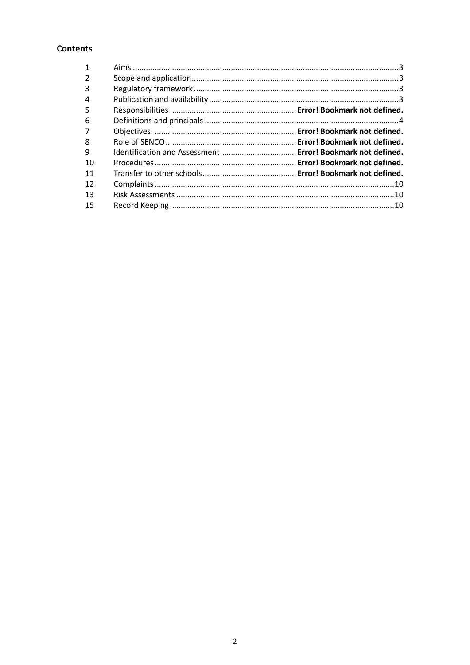# **Contents**

| 3  |  |
|----|--|
| 4  |  |
| 5  |  |
| 6  |  |
|    |  |
| 8  |  |
| 9  |  |
| 10 |  |
| 11 |  |
| 12 |  |
| 13 |  |
| 15 |  |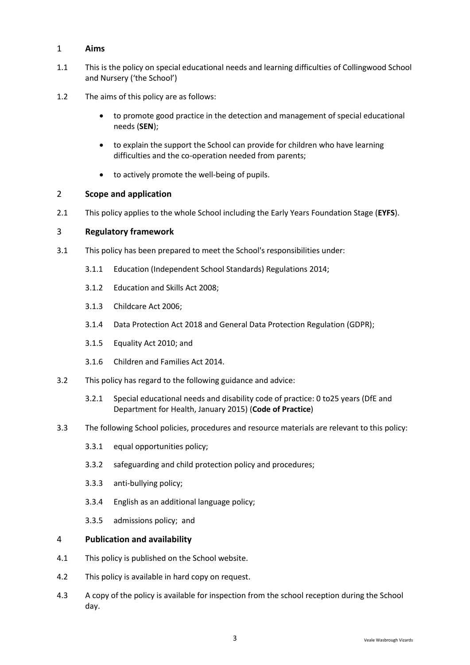# <span id="page-2-0"></span>1 **Aims**

- 1.1 This is the policy on special educational needs and learning difficulties of Collingwood School and Nursery ('the School')
- 1.2 The aims of this policy are as follows:
	- to promote good practice in the detection and management of special educational needs (**SEN**);
	- to explain the support the School can provide for children who have learning difficulties and the co-operation needed from parents;
	- to actively promote the well-being of pupils.

#### <span id="page-2-1"></span>2 **Scope and application**

2.1 This policy applies to the whole School including the Early Years Foundation Stage (**EYFS**).

#### <span id="page-2-2"></span>3 **Regulatory framework**

- 3.1 This policy has been prepared to meet the School's responsibilities under:
	- 3.1.1 Education (Independent School Standards) Regulations 2014;
	- 3.1.2 Education and Skills Act 2008;
	- 3.1.3 Childcare Act 2006;
	- 3.1.4 Data Protection Act 2018 and General Data Protection Regulation (GDPR);
	- 3.1.5 Equality Act 2010; and
	- 3.1.6 Children and Families Act 2014.
- 3.2 This policy has regard to the following guidance and advice:
	- 3.2.1 [Special educational needs and disability code of practice: 0 to25 years](https://www.gov.uk/government/uploads/system/uploads/attachment_data/file/398815/SEND_Code_of_Practice_January_2015.pdf) (DfE and [Department for Health, January 2015\)](https://www.gov.uk/government/uploads/system/uploads/attachment_data/file/398815/SEND_Code_of_Practice_January_2015.pdf) (**Code of Practice**)
- 3.3 The following School policies, procedures and resource materials are relevant to this policy:
	- 3.3.1 equal opportunities policy;
	- 3.3.2 safeguarding and child protection policy and procedures;
	- 3.3.3 anti-bullying policy;
	- 3.3.4 English as an additional language policy;
	- 3.3.5 admissions policy; and

#### <span id="page-2-3"></span>4 **Publication and availability**

- 4.1 This policy is published on the School website.
- 4.2 This policy is available in hard copy on request.
- 4.3 A copy of the policy is available for inspection from the school reception during the School day.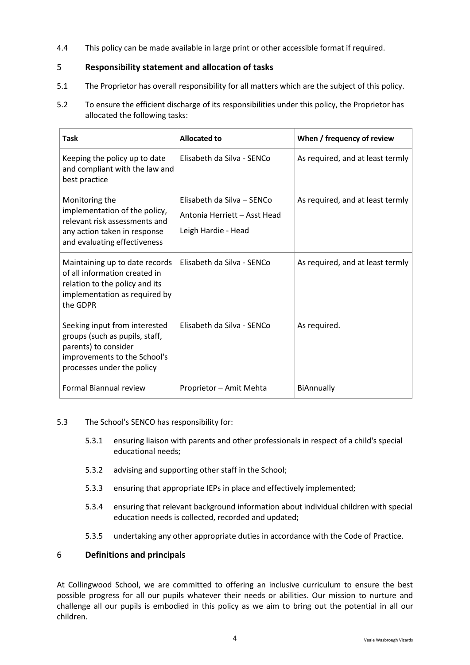4.4 This policy can be made available in large print or other accessible format if required.

# <span id="page-3-0"></span>5 **Responsibility statement and allocation of tasks**

- 5.1 The Proprietor has overall responsibility for all matters which are the subject of this policy.
- 5.2 To ensure the efficient discharge of its responsibilities under this policy, the Proprietor has allocated the following tasks:

| <b>Task</b>                                                                                                                                           | <b>Allocated to</b>                                                               | When / frequency of review       |
|-------------------------------------------------------------------------------------------------------------------------------------------------------|-----------------------------------------------------------------------------------|----------------------------------|
| Keeping the policy up to date<br>and compliant with the law and<br>best practice                                                                      | Elisabeth da Silva - SENCo                                                        | As required, and at least termly |
| Monitoring the<br>implementation of the policy,<br>relevant risk assessments and<br>any action taken in response<br>and evaluating effectiveness      | Elisabeth da Silva - SENCo<br>Antonia Herriett - Asst Head<br>Leigh Hardie - Head | As required, and at least termly |
| Maintaining up to date records<br>of all information created in<br>relation to the policy and its<br>implementation as required by<br>the GDPR        | Elisabeth da Silva - SENCo                                                        | As required, and at least termly |
| Seeking input from interested<br>groups (such as pupils, staff,<br>parents) to consider<br>improvements to the School's<br>processes under the policy | Elisabeth da Silva - SENCo                                                        | As required.                     |
| Formal Biannual review                                                                                                                                | Proprietor - Amit Mehta                                                           | BiAnnually                       |

- 5.3 The School's SENCO has responsibility for:
	- 5.3.1 ensuring liaison with parents and other professionals in respect of a child's special educational needs;
	- 5.3.2 advising and supporting other staff in the School;
	- 5.3.3 ensuring that appropriate IEPs in place and effectively implemented;
	- 5.3.4 ensuring that relevant background information about individual children with special education needs is collected, recorded and updated;
	- 5.3.5 undertaking any other appropriate duties in accordance with the Code of Practice.

# 6 **Definitions and principals**

At Collingwood School, we are committed to offering an inclusive curriculum to ensure the best possible progress for all our pupils whatever their needs or abilities. Our mission to nurture and challenge all our pupils is embodied in this policy as we aim to bring out the potential in all our children.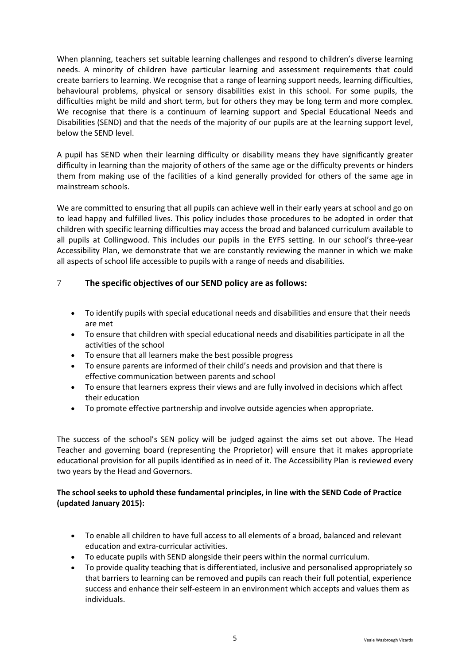When planning, teachers set suitable learning challenges and respond to children's diverse learning needs. A minority of children have particular learning and assessment requirements that could create barriers to learning. We recognise that a range of learning support needs, learning difficulties, behavioural problems, physical or sensory disabilities exist in this school. For some pupils, the difficulties might be mild and short term, but for others they may be long term and more complex. We recognise that there is a continuum of learning support and Special Educational Needs and Disabilities (SEND) and that the needs of the majority of our pupils are at the learning support level, below the SEND level.

A pupil has SEND when their learning difficulty or disability means they have significantly greater difficulty in learning than the majority of others of the same age or the difficulty prevents or hinders them from making use of the facilities of a kind generally provided for others of the same age in mainstream schools.

We are committed to ensuring that all pupils can achieve well in their early years at school and go on to lead happy and fulfilled lives. This policy includes those procedures to be adopted in order that children with specific learning difficulties may access the broad and balanced curriculum available to all pupils at Collingwood. This includes our pupils in the EYFS setting. In our school's three-year Accessibility Plan, we demonstrate that we are constantly reviewing the manner in which we make all aspects of school life accessible to pupils with a range of needs and disabilities.

# 7 **The specific objectives of our SEND policy are as follows:**

- To identify pupils with special educational needs and disabilities and ensure that their needs are met
- To ensure that children with special educational needs and disabilities participate in all the activities of the school
- To ensure that all learners make the best possible progress
- To ensure parents are informed of their child's needs and provision and that there is effective communication between parents and school
- To ensure that learners express their views and are fully involved in decisions which affect their education
- To promote effective partnership and involve outside agencies when appropriate.

The success of the school's SEN policy will be judged against the aims set out above. The Head Teacher and governing board (representing the Proprietor) will ensure that it makes appropriate educational provision for all pupils identified as in need of it. The Accessibility Plan is reviewed every two years by the Head and Governors.

# **The school seeks to uphold these fundamental principles, in line with the SEND Code of Practice (updated January 2015):**

- To enable all children to have full access to all elements of a broad, balanced and relevant education and extra-curricular activities.
- To educate pupils with SEND alongside their peers within the normal curriculum.
- To provide quality teaching that is differentiated, inclusive and personalised appropriately so that barriers to learning can be removed and pupils can reach their full potential, experience success and enhance their self-esteem in an environment which accepts and values them as individuals.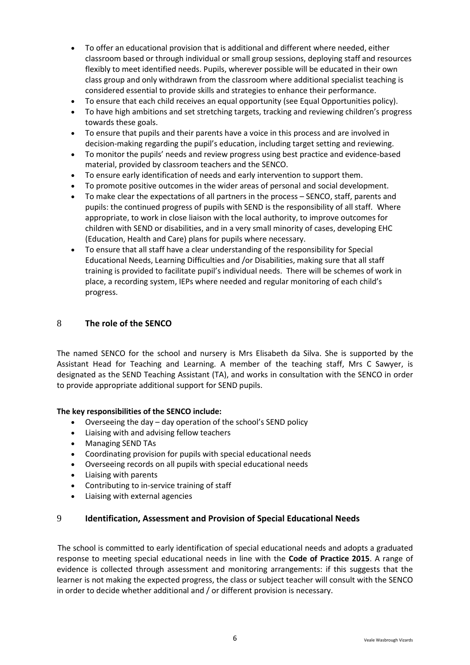- To offer an educational provision that is additional and different where needed, either classroom based or through individual or small group sessions, deploying staff and resources flexibly to meet identified needs. Pupils, wherever possible will be educated in their own class group and only withdrawn from the classroom where additional specialist teaching is considered essential to provide skills and strategies to enhance their performance.
- To ensure that each child receives an equal opportunity (see Equal Opportunities policy).
- To have high ambitions and set stretching targets, tracking and reviewing children's progress towards these goals.
- To ensure that pupils and their parents have a voice in this process and are involved in decision-making regarding the pupil's education, including target setting and reviewing.
- To monitor the pupils' needs and review progress using best practice and evidence-based material, provided by classroom teachers and the SENCO.
- To ensure early identification of needs and early intervention to support them.
- To promote positive outcomes in the wider areas of personal and social development.
- To make clear the expectations of all partners in the process SENCO, staff, parents and pupils: the continued progress of pupils with SEND is the responsibility of all staff. Where appropriate, to work in close liaison with the local authority, to improve outcomes for children with SEND or disabilities, and in a very small minority of cases, developing EHC (Education, Health and Care) plans for pupils where necessary.
- To ensure that all staff have a clear understanding of the responsibility for Special Educational Needs, Learning Difficulties and /or Disabilities, making sure that all staff training is provided to facilitate pupil's individual needs. There will be schemes of work in place, a recording system, IEPs where needed and regular monitoring of each child's progress.

# 8 **The role of the SENCO**

The named SENCO for the school and nursery is Mrs Elisabeth da Silva. She is supported by the Assistant Head for Teaching and Learning. A member of the teaching staff, Mrs C Sawyer, is designated as the SEND Teaching Assistant (TA), and works in consultation with the SENCO in order to provide appropriate additional support for SEND pupils.

#### **The key responsibilities of the SENCO include:**

- Overseeing the day day operation of the school's SEND policy
- Liaising with and advising fellow teachers
- Managing SEND TAs
- Coordinating provision for pupils with special educational needs
- Overseeing records on all pupils with special educational needs
- Liaising with parents
- Contributing to in-service training of staff
- Liaising with external agencies

# 9 **Identification, Assessment and Provision of Special Educational Needs**

The school is committed to early identification of special educational needs and adopts a graduated response to meeting special educational needs in line with the **Code of Practice 2015**. A range of evidence is collected through assessment and monitoring arrangements: if this suggests that the learner is not making the expected progress, the class or subject teacher will consult with the SENCO in order to decide whether additional and / or different provision is necessary.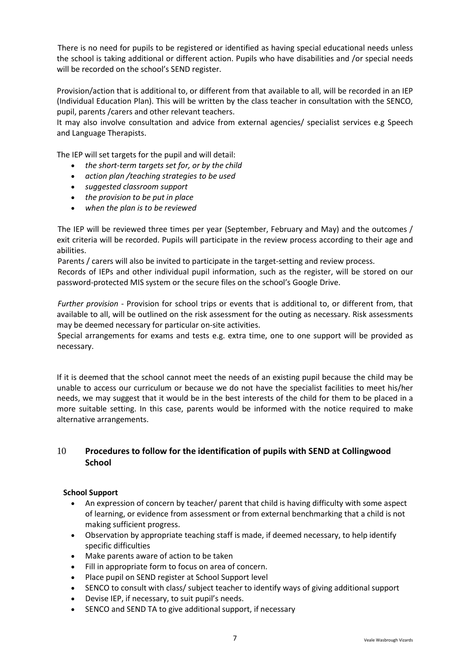There is no need for pupils to be registered or identified as having special educational needs unless the school is taking additional or different action. Pupils who have disabilities and /or special needs will be recorded on the school's SEND register.

Provision/action that is additional to, or different from that available to all, will be recorded in an IEP (Individual Education Plan). This will be written by the class teacher in consultation with the SENCO, pupil, parents /carers and other relevant teachers.

It may also involve consultation and advice from external agencies/ specialist services e.g Speech and Language Therapists.

The IEP will set targets for the pupil and will detail:

- *the short-term targets set for, or by the child*
- *action plan /teaching strategies to be used*
- *suggested classroom support*
- *the provision to be put in place*
- *when the plan is to be reviewed*

The IEP will be reviewed three times per year (September, February and May) and the outcomes / exit criteria will be recorded. Pupils will participate in the review process according to their age and abilities.

Parents / carers will also be invited to participate in the target-setting and review process.

Records of IEPs and other individual pupil information, such as the register, will be stored on our password-protected MIS system or the secure files on the school's Google Drive.

*Further provision* - Provision for school trips or events that is additional to, or different from, that available to all, will be outlined on the risk assessment for the outing as necessary. Risk assessments may be deemed necessary for particular on-site activities.

Special arrangements for exams and tests e.g. extra time, one to one support will be provided as necessary.

If it is deemed that the school cannot meet the needs of an existing pupil because the child may be unable to access our curriculum or because we do not have the specialist facilities to meet his/her needs, we may suggest that it would be in the best interests of the child for them to be placed in a more suitable setting. In this case, parents would be informed with the notice required to make alternative arrangements.

# 10 **Procedures to follow for the identification of pupils with SEND at Collingwood School**

#### **School Support**

- An expression of concern by teacher/ parent that child is having difficulty with some aspect of learning, or evidence from assessment or from external benchmarking that a child is not making sufficient progress.
- Observation by appropriate teaching staff is made, if deemed necessary, to help identify specific difficulties
- Make parents aware of action to be taken
- Fill in appropriate form to focus on area of concern.
- Place pupil on SEND register at School Support level
- SENCO to consult with class/ subject teacher to identify ways of giving additional support
- Devise IEP, if necessary, to suit pupil's needs.
- SENCO and SEND TA to give additional support, if necessary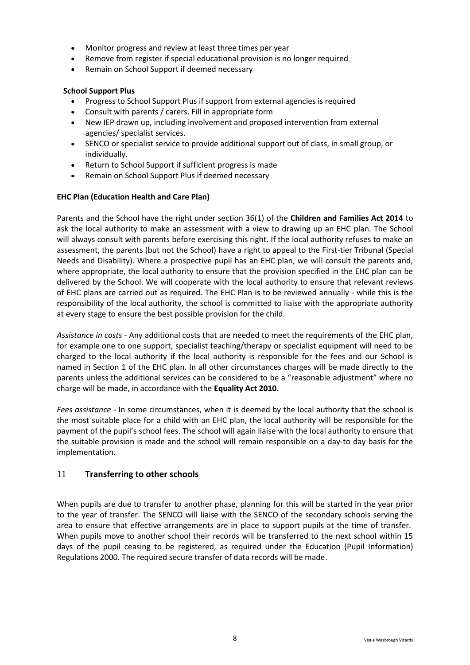- Monitor progress and review at least three times per year
- Remove from register if special educational provision is no longer required
- Remain on School Support if deemed necessary

### **School Support Plus**

- Progress to School Support Plus if support from external agencies is required
- Consult with parents / carers. Fill in appropriate form
- New IEP drawn up, including involvement and proposed intervention from external agencies/ specialist services.
- SENCO or specialist service to provide additional support out of class, in small group, or individually.
- Return to School Support if sufficient progress is made
- Remain on School Support Plus if deemed necessary

## **EHC Plan (Education Health and Care Plan)**

Parents and the School have the right under section 36(1) of the **Children and Families Act 2014** to ask the local authority to make an assessment with a view to drawing up an EHC plan. The School will always consult with parents before exercising this right. If the local authority refuses to make an assessment, the parents (but not the School) have a right to appeal to the First-tier Tribunal (Special Needs and Disability). Where a prospective pupil has an EHC plan, we will consult the parents and, where appropriate, the local authority to ensure that the provision specified in the EHC plan can be delivered by the School. We will cooperate with the local authority to ensure that relevant reviews of EHC plans are carried out as required. The EHC Plan is to be reviewed annually - while this is the responsibility of the local authority, the school is committed to liaise with the appropriate authority at every stage to ensure the best possible provision for the child.

*Assistance in costs* - Any additional costs that are needed to meet the requirements of the EHC plan, for example one to one support, specialist teaching/therapy or specialist equipment will need to be charged to the local authority if the local authority is responsible for the fees and our School is named in Section 1 of the EHC plan. In all other circumstances charges will be made directly to the parents unless the additional services can be considered to be a "reasonable adjustment" where no charge will be made, in accordance with the **Equality Act 2010.**

*Fees assistance* - In some circumstances, when it is deemed by the local authority that the school is the most suitable place for a child with an EHC plan, the local authority will be responsible for the payment of the pupil's school fees. The school will again liaise with the local authority to ensure that the suitable provision is made and the school will remain responsible on a day-to day basis for the implementation.

# 11 **Transferring to other schools**

When pupils are due to transfer to another phase, planning for this will be started in the year prior to the year of transfer. The SENCO will liaise with the SENCO of the secondary schools serving the area to ensure that effective arrangements are in place to support pupils at the time of transfer. When pupils move to another school their records will be transferred to the next school within 15 days of the pupil ceasing to be registered, as required under the Education (Pupil Information) Regulations 2000. The required secure transfer of data records will be made.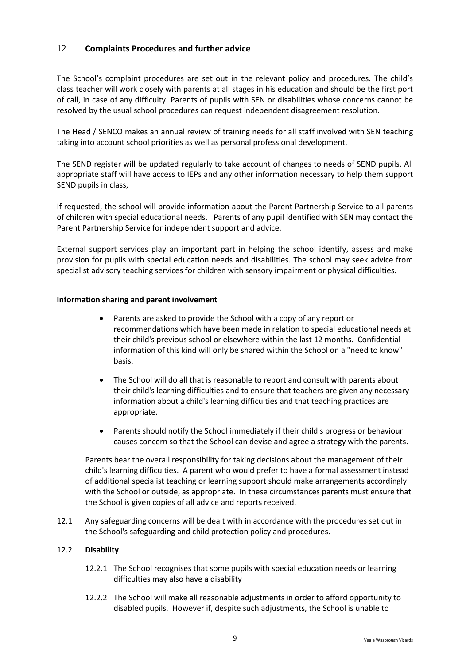# 12 **Complaints Procedures and further advice**

The School's complaint procedures are set out in the relevant policy and procedures. The child's class teacher will work closely with parents at all stages in his education and should be the first port of call, in case of any difficulty. Parents of pupils with SEN or disabilities whose concerns cannot be resolved by the usual school procedures can request independent disagreement resolution.

The Head / SENCO makes an annual review of training needs for all staff involved with SEN teaching taking into account school priorities as well as personal professional development.

The SEND register will be updated regularly to take account of changes to needs of SEND pupils. All appropriate staff will have access to IEPs and any other information necessary to help them support SEND pupils in class,

If requested, the school will provide information about the Parent Partnership Service to all parents of children with special educational needs. Parents of any pupil identified with SEN may contact the Parent Partnership Service for independent support and advice.

External support services play an important part in helping the school identify, assess and make provision for pupils with special education needs and disabilities. The school may seek advice from specialist advisory teaching services for children with sensory impairment or physical difficulties**.**

#### **Information sharing and parent involvement**

- Parents are asked to provide the School with a copy of any report or recommendations which have been made in relation to special educational needs at their child's previous school or elsewhere within the last 12 months. Confidential information of this kind will only be shared within the School on a "need to know" basis.
- The School will do all that is reasonable to report and consult with parents about their child's learning difficulties and to ensure that teachers are given any necessary information about a child's learning difficulties and that teaching practices are appropriate.
- Parents should notify the School immediately if their child's progress or behaviour causes concern so that the School can devise and agree a strategy with the parents.

Parents bear the overall responsibility for taking decisions about the management of their child's learning difficulties. A parent who would prefer to have a formal assessment instead of additional specialist teaching or learning support should make arrangements accordingly with the School or outside, as appropriate. In these circumstances parents must ensure that the School is given copies of all advice and reports received.

12.1 Any safeguarding concerns will be dealt with in accordance with the procedures set out in the School's safeguarding and child protection policy and procedures.

#### 12.2 **Disability**

- 12.2.1 The School recognises that some pupils with special education needs or learning difficulties may also have a disability
- 12.2.2 The School will make all reasonable adjustments in order to afford opportunity to disabled pupils. However if, despite such adjustments, the School is unable to